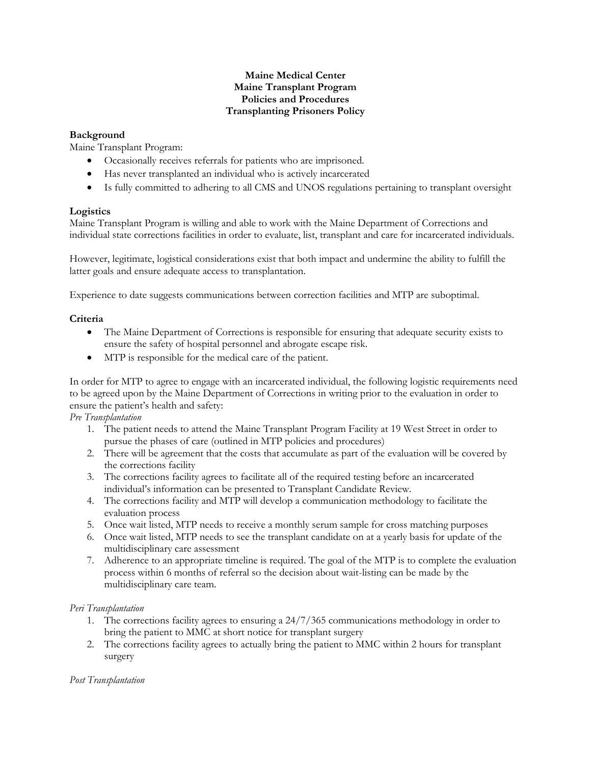## **Maine Medical Center Maine Transplant Program Policies and Procedures Transplanting Prisoners Policy**

## **Background**

Maine Transplant Program:

- Occasionally receives referrals for patients who are imprisoned.
- Has never transplanted an individual who is actively incarcerated
- Is fully committed to adhering to all CMS and UNOS regulations pertaining to transplant oversight

## **Logistics**

Maine Transplant Program is willing and able to work with the Maine Department of Corrections and individual state corrections facilities in order to evaluate, list, transplant and care for incarcerated individuals.

However, legitimate, logistical considerations exist that both impact and undermine the ability to fulfill the latter goals and ensure adequate access to transplantation.

Experience to date suggests communications between correction facilities and MTP are suboptimal.

# **Criteria**

- The Maine Department of Corrections is responsible for ensuring that adequate security exists to ensure the safety of hospital personnel and abrogate escape risk.
- MTP is responsible for the medical care of the patient.

In order for MTP to agree to engage with an incarcerated individual, the following logistic requirements need to be agreed upon by the Maine Department of Corrections in writing prior to the evaluation in order to ensure the patient's health and safety:

*Pre Transplantation*

- 1. The patient needs to attend the Maine Transplant Program Facility at 19 West Street in order to pursue the phases of care (outlined in MTP policies and procedures)
- 2. There will be agreement that the costs that accumulate as part of the evaluation will be covered by the corrections facility
- 3. The corrections facility agrees to facilitate all of the required testing before an incarcerated individual's information can be presented to Transplant Candidate Review.
- 4. The corrections facility and MTP will develop a communication methodology to facilitate the evaluation process
- 5. Once wait listed, MTP needs to receive a monthly serum sample for cross matching purposes
- 6. Once wait listed, MTP needs to see the transplant candidate on at a yearly basis for update of the multidisciplinary care assessment
- 7. Adherence to an appropriate timeline is required. The goal of the MTP is to complete the evaluation process within 6 months of referral so the decision about wait-listing can be made by the multidisciplinary care team.

## *Peri Transplantation*

- 1. The corrections facility agrees to ensuring a 24/7/365 communications methodology in order to bring the patient to MMC at short notice for transplant surgery
- 2. The corrections facility agrees to actually bring the patient to MMC within 2 hours for transplant surgery

## *Post Transplantation*